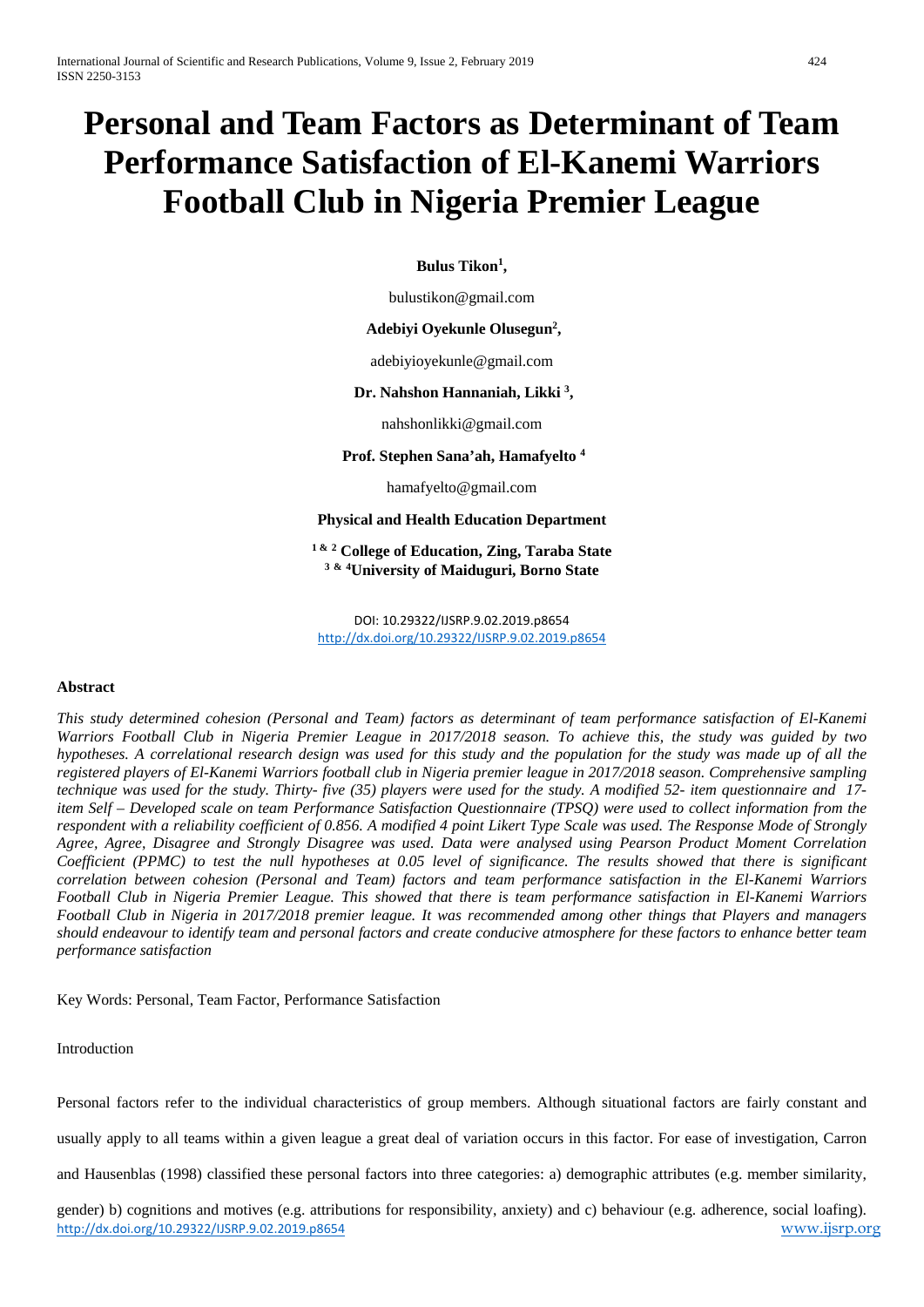# **Personal and Team Factors as Determinant of Team Performance Satisfaction of El-Kanemi Warriors Football Club in Nigeria Premier League**

**Bulus Tikon1 ,**

bulustikon@gmail.com

## **Adebiyi Oyekunle Olusegun2 ,**

adebiyioyekunle@gmail.com

## **Dr. Nahshon Hannaniah, Likki 3 ,**

nahshonlikki@gmail.com

# **Prof. Stephen Sana'ah, Hamafyelto 4**

hamafyelto@gmail.com

# **Physical and Health Education Department**

**1 & <sup>2</sup> College of Education, Zing, Taraba State 3 & 4 University of Maiduguri, Borno State**

DOI: 10.29322/IJSRP.9.02.2019.p8654 <http://dx.doi.org/10.29322/IJSRP.9.02.2019.p8654>

#### **Abstract**

*This study determined cohesion (Personal and Team) factors as determinant of team performance satisfaction of El-Kanemi Warriors Football Club in Nigeria Premier League in 2017/2018 season. To achieve this, the study was guided by two hypotheses. A correlational research design was used for this study and the population for the study was made up of all the registered players of El-Kanemi Warriors football club in Nigeria premier league in 2017/2018 season. Comprehensive sampling technique was used for the study. Thirty- five (35) players were used for the study. A modified 52- item questionnaire and 17 item Self – Developed scale on team Performance Satisfaction Questionnaire (TPSQ) were used to collect information from the respondent with a reliability coefficient of 0.856. A modified 4 point Likert Type Scale was used. The Response Mode of Strongly Agree, Agree, Disagree and Strongly Disagree was used. Data were analysed using Pearson Product Moment Correlation Coefficient (PPMC) to test the null hypotheses at 0.05 level of significance. The results showed that there is significant correlation between cohesion (Personal and Team) factors and team performance satisfaction in the El-Kanemi Warriors Football Club in Nigeria Premier League. This showed that there is team performance satisfaction in El-Kanemi Warriors Football Club in Nigeria in 2017/2018 premier league. It was recommended among other things that Players and managers should endeavour to identify team and personal factors and create conducive atmosphere for these factors to enhance better team performance satisfaction*

Key Words: Personal, Team Factor, Performance Satisfaction

#### Introduction

Personal factors refer to the individual characteristics of group members. Although situational factors are fairly constant and

usually apply to all teams within a given league a great deal of variation occurs in this factor. For ease of investigation, Carron

and Hausenblas (1998) classified these personal factors into three categories: a) demographic attributes (e.g. member similarity,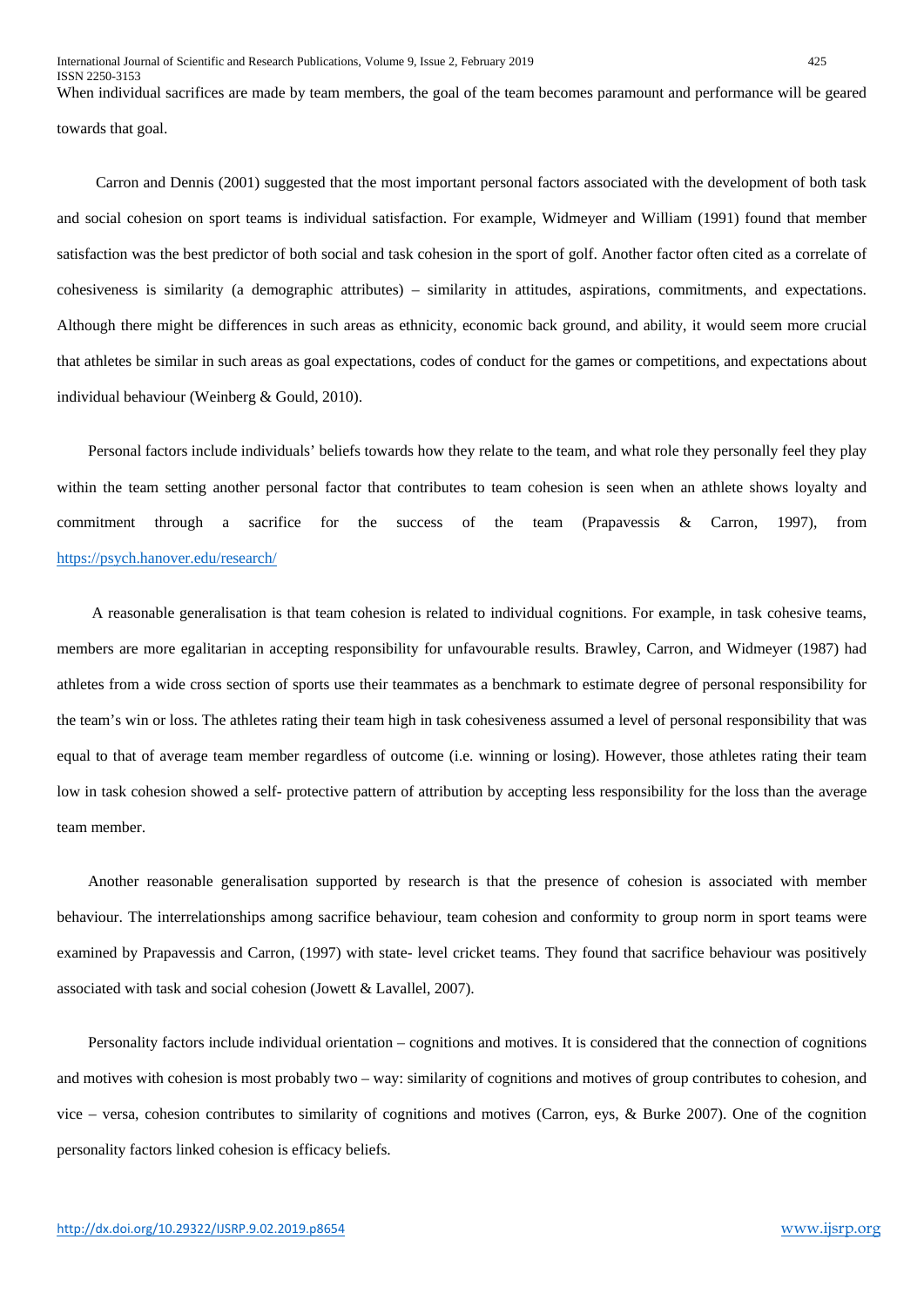When individual sacrifices are made by team members, the goal of the team becomes paramount and performance will be geared towards that goal.

 Carron and Dennis (2001) suggested that the most important personal factors associated with the development of both task and social cohesion on sport teams is individual satisfaction. For example, Widmeyer and William (1991) found that member satisfaction was the best predictor of both social and task cohesion in the sport of golf. Another factor often cited as a correlate of cohesiveness is similarity (a demographic attributes) – similarity in attitudes, aspirations, commitments, and expectations. Although there might be differences in such areas as ethnicity, economic back ground, and ability, it would seem more crucial that athletes be similar in such areas as goal expectations, codes of conduct for the games or competitions, and expectations about individual behaviour (Weinberg & Gould, 2010).

 Personal factors include individuals' beliefs towards how they relate to the team, and what role they personally feel they play within the team setting another personal factor that contributes to team cohesion is seen when an athlete shows loyalty and commitment through a sacrifice for the success of the team (Prapavessis & Carron, 1997), from <https://psych.hanover.edu/research/>

 A reasonable generalisation is that team cohesion is related to individual cognitions. For example, in task cohesive teams, members are more egalitarian in accepting responsibility for unfavourable results. Brawley, Carron, and Widmeyer (1987) had athletes from a wide cross section of sports use their teammates as a benchmark to estimate degree of personal responsibility for the team's win or loss. The athletes rating their team high in task cohesiveness assumed a level of personal responsibility that was equal to that of average team member regardless of outcome (i.e. winning or losing). However, those athletes rating their team low in task cohesion showed a self- protective pattern of attribution by accepting less responsibility for the loss than the average team member.

 Another reasonable generalisation supported by research is that the presence of cohesion is associated with member behaviour. The interrelationships among sacrifice behaviour, team cohesion and conformity to group norm in sport teams were examined by Prapavessis and Carron, (1997) with state- level cricket teams. They found that sacrifice behaviour was positively associated with task and social cohesion (Jowett & Lavallel, 2007).

 Personality factors include individual orientation – cognitions and motives. It is considered that the connection of cognitions and motives with cohesion is most probably two – way: similarity of cognitions and motives of group contributes to cohesion, and vice – versa, cohesion contributes to similarity of cognitions and motives (Carron, eys, & Burke 2007). One of the cognition personality factors linked cohesion is efficacy beliefs.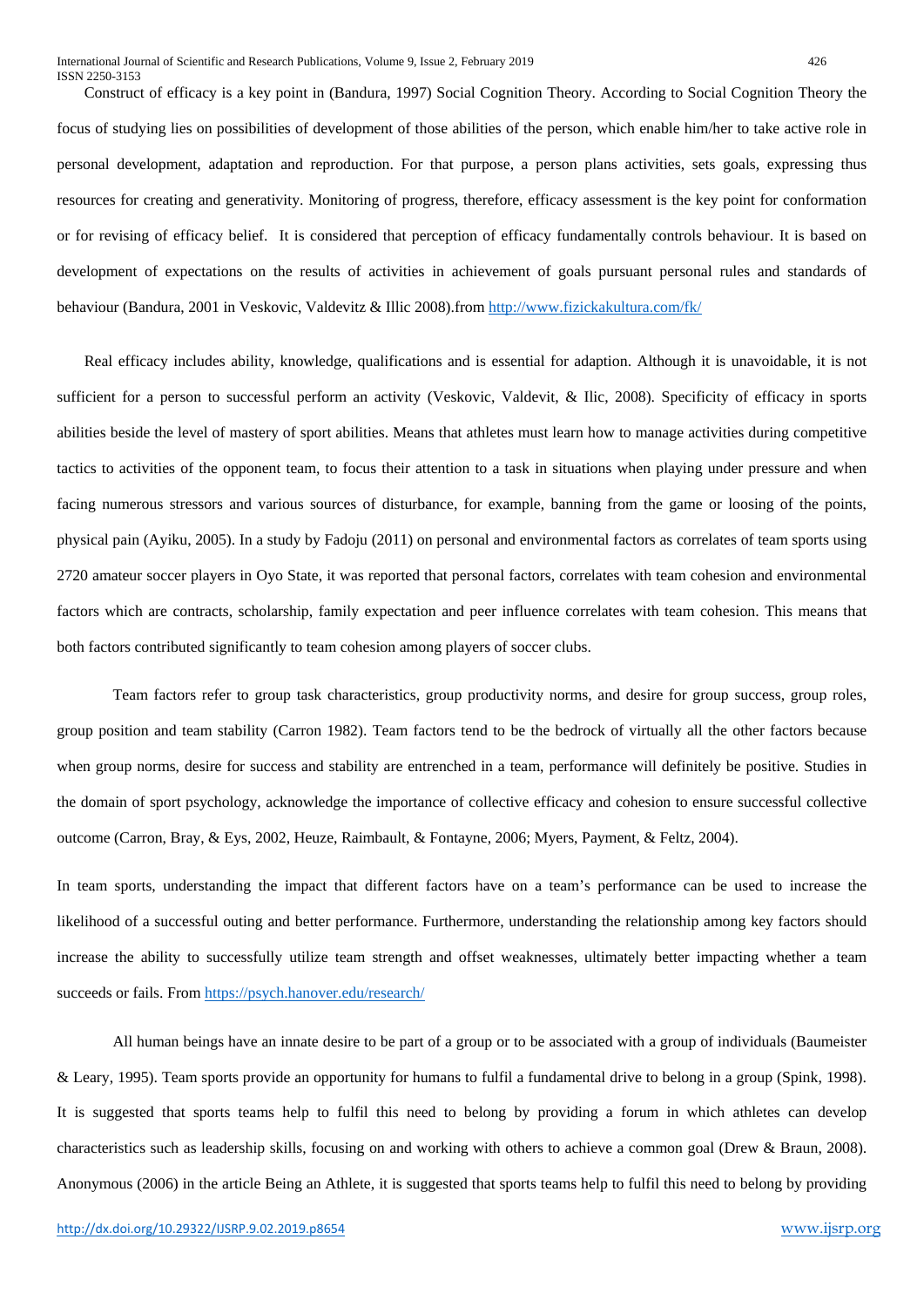Construct of efficacy is a key point in (Bandura, 1997) Social Cognition Theory. According to Social Cognition Theory the focus of studying lies on possibilities of development of those abilities of the person, which enable him/her to take active role in personal development, adaptation and reproduction. For that purpose, a person plans activities, sets goals, expressing thus resources for creating and generativity. Monitoring of progress, therefore, efficacy assessment is the key point for conformation or for revising of efficacy belief. It is considered that perception of efficacy fundamentally controls behaviour. It is based on development of expectations on the results of activities in achievement of goals pursuant personal rules and standards of behaviour (Bandura, 2001 in Veskovic, Valdevitz & Illic 2008).from<http://www.fizickakultura.com/fk/>

 Real efficacy includes ability, knowledge, qualifications and is essential for adaption. Although it is unavoidable, it is not sufficient for a person to successful perform an activity (Veskovic, Valdevit, & Ilic, 2008). Specificity of efficacy in sports abilities beside the level of mastery of sport abilities. Means that athletes must learn how to manage activities during competitive tactics to activities of the opponent team, to focus their attention to a task in situations when playing under pressure and when facing numerous stressors and various sources of disturbance, for example, banning from the game or loosing of the points, physical pain (Ayiku, 2005). In a study by Fadoju (2011) on personal and environmental factors as correlates of team sports using 2720 amateur soccer players in Oyo State, it was reported that personal factors, correlates with team cohesion and environmental factors which are contracts, scholarship, family expectation and peer influence correlates with team cohesion. This means that both factors contributed significantly to team cohesion among players of soccer clubs.

Team factors refer to group task characteristics, group productivity norms, and desire for group success, group roles, group position and team stability (Carron 1982). Team factors tend to be the bedrock of virtually all the other factors because when group norms, desire for success and stability are entrenched in a team, performance will definitely be positive. Studies in the domain of sport psychology, acknowledge the importance of collective efficacy and cohesion to ensure successful collective outcome (Carron, Bray, & Eys, 2002, Heuze, Raimbault, & Fontayne, 2006; Myers, Payment, & Feltz, 2004).

In team sports, understanding the impact that different factors have on a team's performance can be used to increase the likelihood of a successful outing and better performance. Furthermore, understanding the relationship among key factors should increase the ability to successfully utilize team strength and offset weaknesses, ultimately better impacting whether a team succeeds or fails. From<https://psych.hanover.edu/research/>

All human beings have an innate desire to be part of a group or to be associated with a group of individuals (Baumeister & Leary, 1995). Team sports provide an opportunity for humans to fulfil a fundamental drive to belong in a group (Spink, 1998). It is suggested that sports teams help to fulfil this need to belong by providing a forum in which athletes can develop characteristics such as leadership skills, focusing on and working with others to achieve a common goal (Drew & Braun, 2008). Anonymous (2006) in the article Being an Athlete, it is suggested that sports teams help to fulfil this need to belong by providing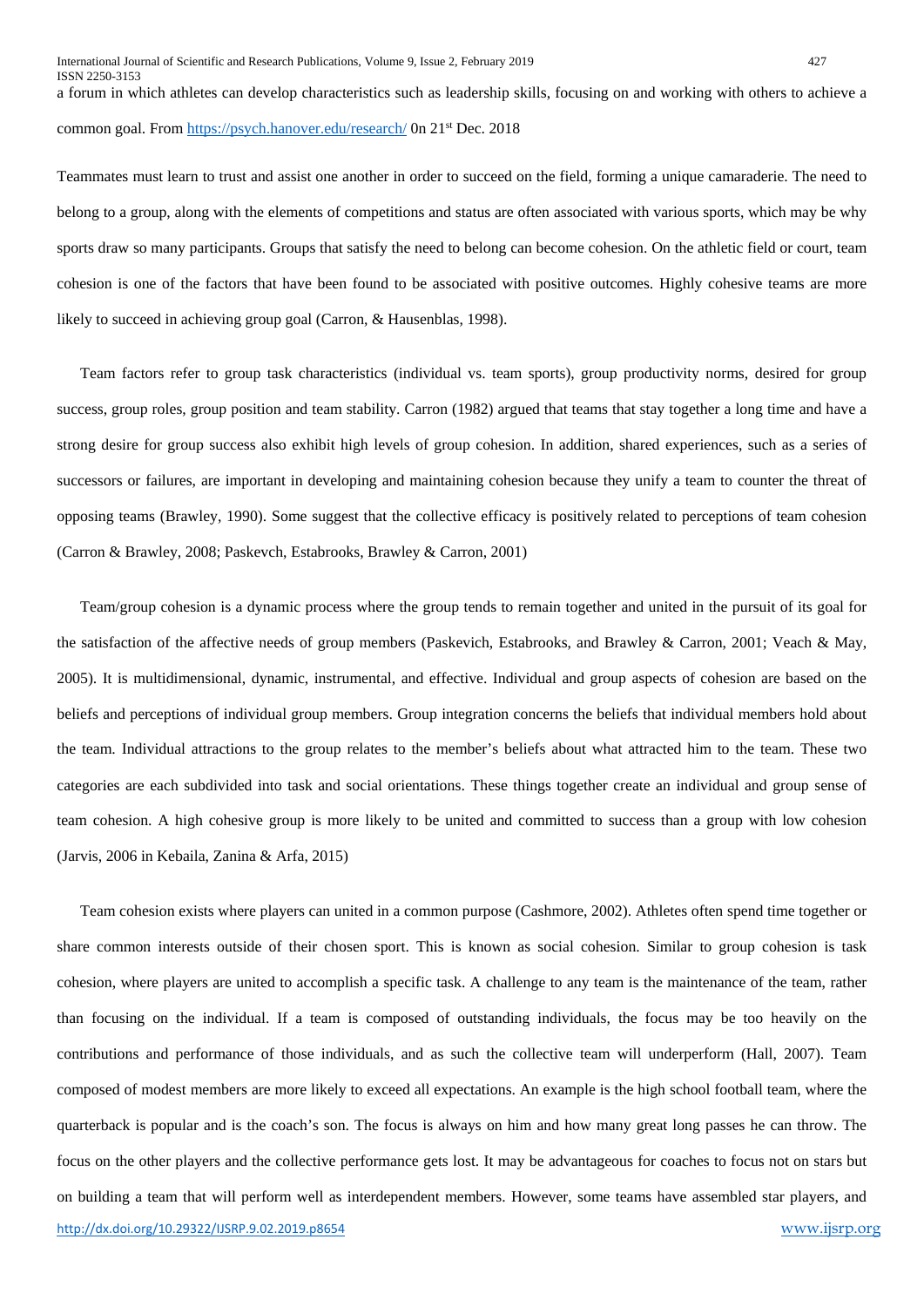a forum in which athletes can develop characteristics such as leadership skills, focusing on and working with others to achieve a common goal. Fro[m https://psych.hanover.edu/research/](https://psych.hanover.edu/research/) 0n 21st Dec. 2018

Teammates must learn to trust and assist one another in order to succeed on the field, forming a unique camaraderie. The need to belong to a group, along with the elements of competitions and status are often associated with various sports, which may be why sports draw so many participants. Groups that satisfy the need to belong can become cohesion. On the athletic field or court, team cohesion is one of the factors that have been found to be associated with positive outcomes. Highly cohesive teams are more likely to succeed in achieving group goal (Carron, & Hausenblas, 1998).

 Team factors refer to group task characteristics (individual vs. team sports), group productivity norms, desired for group success, group roles, group position and team stability. Carron (1982) argued that teams that stay together a long time and have a strong desire for group success also exhibit high levels of group cohesion. In addition, shared experiences, such as a series of successors or failures, are important in developing and maintaining cohesion because they unify a team to counter the threat of opposing teams (Brawley, 1990). Some suggest that the collective efficacy is positively related to perceptions of team cohesion (Carron & Brawley, 2008; Paskevch, Estabrooks, Brawley & Carron, 2001)

 Team/group cohesion is a dynamic process where the group tends to remain together and united in the pursuit of its goal for the satisfaction of the affective needs of group members (Paskevich, Estabrooks, and Brawley & Carron, 2001; Veach & May, 2005). It is multidimensional, dynamic, instrumental, and effective. Individual and group aspects of cohesion are based on the beliefs and perceptions of individual group members. Group integration concerns the beliefs that individual members hold about the team. Individual attractions to the group relates to the member's beliefs about what attracted him to the team. These two categories are each subdivided into task and social orientations. These things together create an individual and group sense of team cohesion. A high cohesive group is more likely to be united and committed to success than a group with low cohesion (Jarvis, 2006 in Kebaila, Zanina & Arfa, 2015)

<http://dx.doi.org/10.29322/IJSRP.9.02.2019.p8654> [www.ijsrp.org](http://ijsrp.org/) Team cohesion exists where players can united in a common purpose (Cashmore, 2002). Athletes often spend time together or share common interests outside of their chosen sport. This is known as social cohesion. Similar to group cohesion is task cohesion, where players are united to accomplish a specific task. A challenge to any team is the maintenance of the team, rather than focusing on the individual. If a team is composed of outstanding individuals, the focus may be too heavily on the contributions and performance of those individuals, and as such the collective team will underperform (Hall, 2007). Team composed of modest members are more likely to exceed all expectations. An example is the high school football team, where the quarterback is popular and is the coach's son. The focus is always on him and how many great long passes he can throw. The focus on the other players and the collective performance gets lost. It may be advantageous for coaches to focus not on stars but on building a team that will perform well as interdependent members. However, some teams have assembled star players, and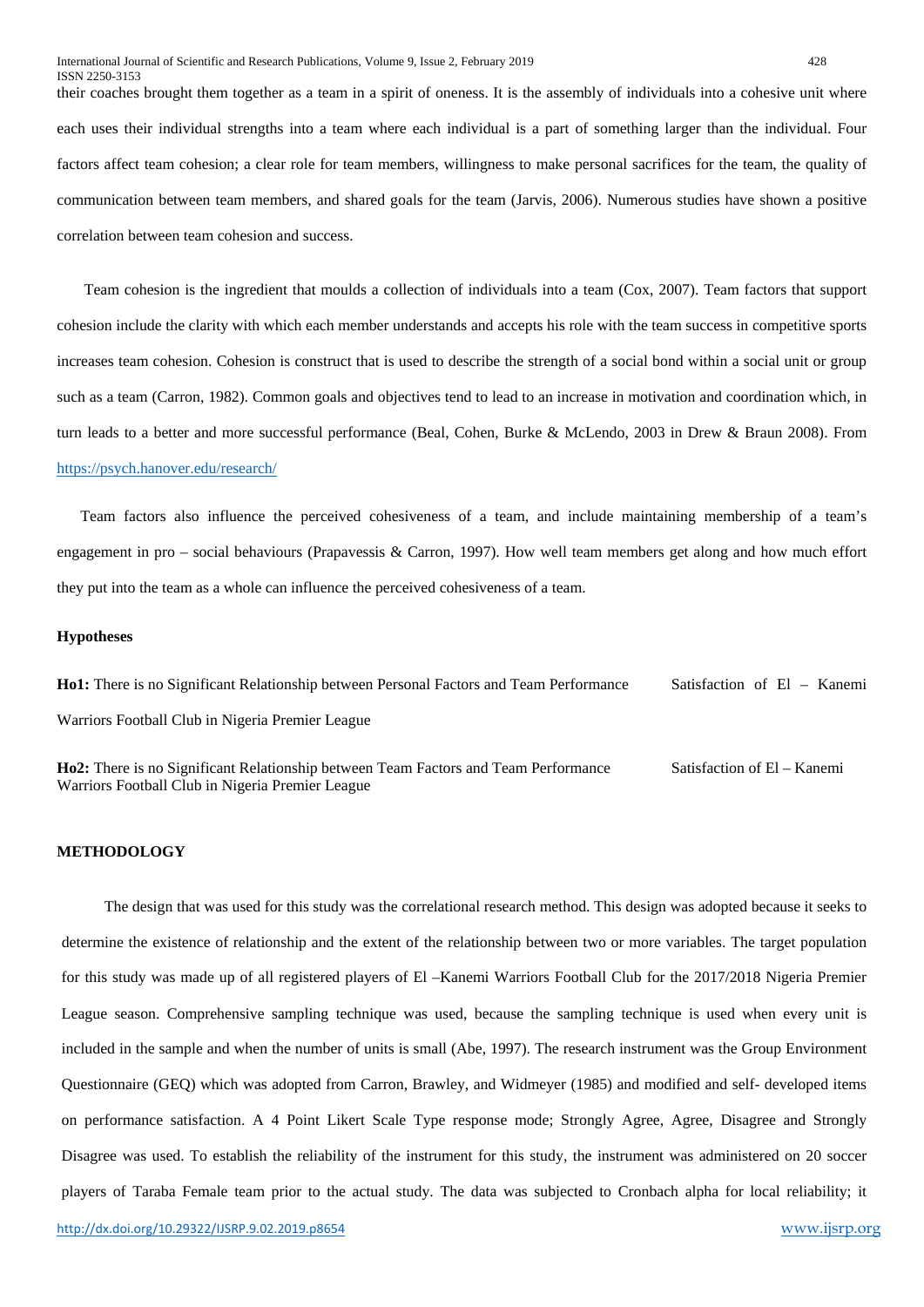their coaches brought them together as a team in a spirit of oneness. It is the assembly of individuals into a cohesive unit where each uses their individual strengths into a team where each individual is a part of something larger than the individual. Four factors affect team cohesion; a clear role for team members, willingness to make personal sacrifices for the team, the quality of communication between team members, and shared goals for the team (Jarvis, 2006). Numerous studies have shown a positive correlation between team cohesion and success.

 Team cohesion is the ingredient that moulds a collection of individuals into a team (Cox, 2007). Team factors that support cohesion include the clarity with which each member understands and accepts his role with the team success in competitive sports increases team cohesion. Cohesion is construct that is used to describe the strength of a social bond within a social unit or group such as a team (Carron, 1982). Common goals and objectives tend to lead to an increase in motivation and coordination which, in turn leads to a better and more successful performance (Beal, Cohen, Burke & McLendo, 2003 in Drew & Braun 2008). From <https://psych.hanover.edu/research/>

 Team factors also influence the perceived cohesiveness of a team, and include maintaining membership of a team's engagement in pro – social behaviours (Prapavessis & Carron, 1997). How well team members get along and how much effort they put into the team as a whole can influence the perceived cohesiveness of a team.

#### **Hypotheses**

**Ho1:** There is no Significant Relationship between Personal Factors and Team Performance Satisfaction of El – Kanemi Warriors Football Club in Nigeria Premier League

**Ho2:** There is no Significant Relationship between Team Factors and Team Performance Satisfaction of El – Kanemi Warriors Football Club in Nigeria Premier League

#### **METHODOLOGY**

 The design that was used for this study was the correlational research method. This design was adopted because it seeks to determine the existence of relationship and the extent of the relationship between two or more variables. The target population for this study was made up of all registered players of El –Kanemi Warriors Football Club for the 2017/2018 Nigeria Premier League season. Comprehensive sampling technique was used, because the sampling technique is used when every unit is included in the sample and when the number of units is small (Abe, 1997). The research instrument was the Group Environment Questionnaire (GEQ) which was adopted from Carron, Brawley, and Widmeyer (1985) and modified and self- developed items on performance satisfaction. A 4 Point Likert Scale Type response mode; Strongly Agree, Agree, Disagree and Strongly Disagree was used. To establish the reliability of the instrument for this study, the instrument was administered on 20 soccer players of Taraba Female team prior to the actual study. The data was subjected to Cronbach alpha for local reliability; it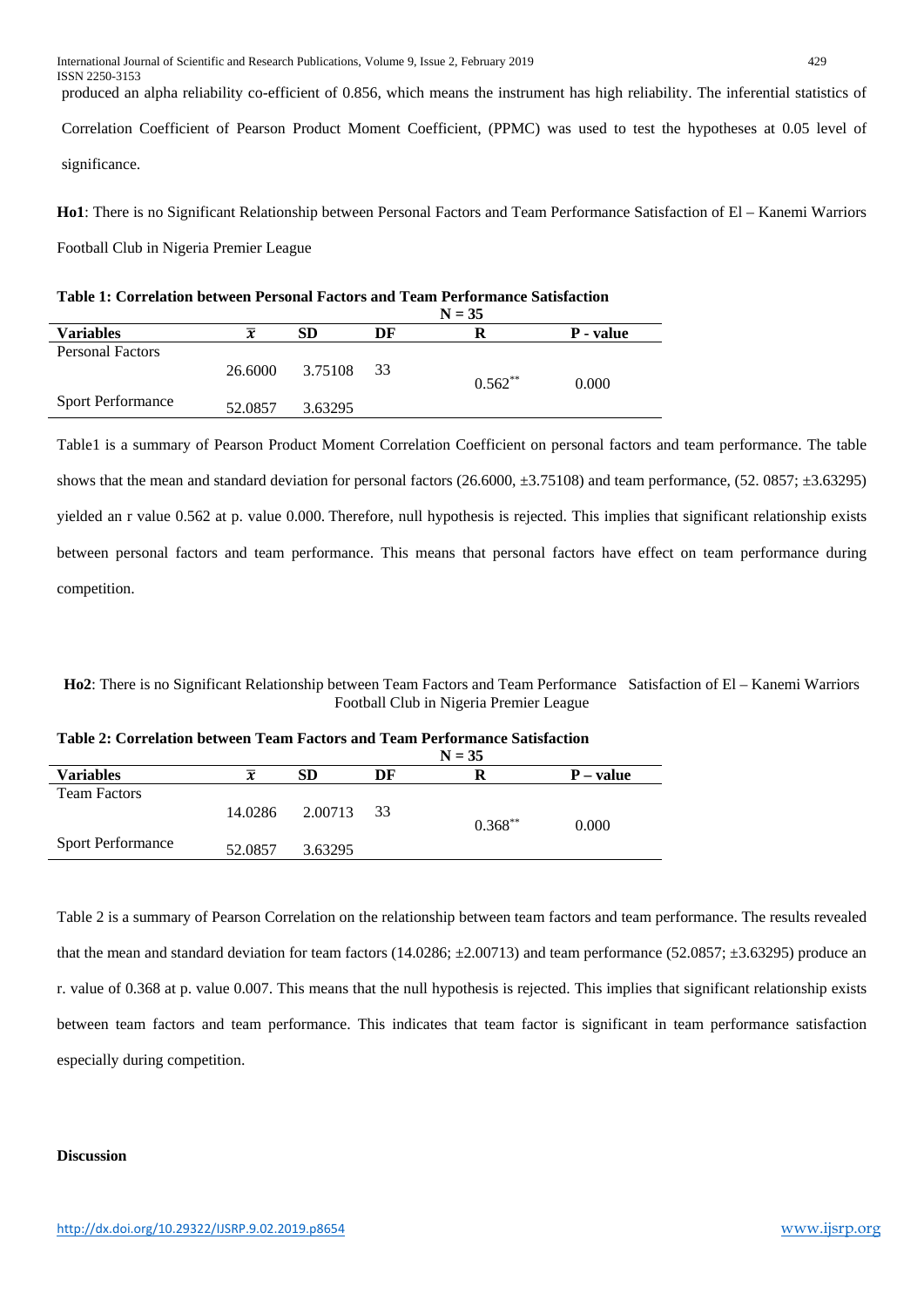produced an alpha reliability co-efficient of 0.856, which means the instrument has high reliability. The inferential statistics of Correlation Coefficient of Pearson Product Moment Coefficient, (PPMC) was used to test the hypotheses at 0.05 level of significance.

**Ho1**: There is no Significant Relationship between Personal Factors and Team Performance Satisfaction of El – Kanemi Warriors

Football Club in Nigeria Premier League

| <b>Variables</b>         | $N = 35$ |           |      |           |           |  |  |
|--------------------------|----------|-----------|------|-----------|-----------|--|--|
|                          | x        | <b>SD</b> | DF   | R         | P - value |  |  |
| <b>Personal Factors</b>  | 26.6000  | 3.75108   | - 33 |           |           |  |  |
|                          |          |           |      | $0.562**$ | 0.000     |  |  |
| <b>Sport Performance</b> | 52.0857  | 3.63295   |      |           |           |  |  |

**Table 1: Correlation between Personal Factors and Team Performance Satisfaction**

Table1 is a summary of Pearson Product Moment Correlation Coefficient on personal factors and team performance. The table shows that the mean and standard deviation for personal factors  $(26.6000, \pm 3.75108)$  and team performance,  $(52.0857, \pm 3.63295)$ yielded an r value 0.562 at p. value 0.000. Therefore, null hypothesis is rejected. This implies that significant relationship exists between personal factors and team performance. This means that personal factors have effect on team performance during competition.

**Ho2**: There is no Significant Relationship between Team Factors and Team Performance Satisfaction of El – Kanemi Warriors Football Club in Nigeria Premier League

|                          | $N = 35$            |            |    |            |             |  |
|--------------------------|---------------------|------------|----|------------|-------------|--|
| <b>Variables</b>         | $\overline{\bm{x}}$ | <b>SD</b>  | DF | R          | $P - value$ |  |
| <b>Team Factors</b>      | 14.0286             | 2.00713 33 |    | $0.368***$ | 0.000       |  |
| <b>Sport Performance</b> | 52.0857             | 3.63295    |    |            |             |  |

**Table 2: Correlation between Team Factors and Team Performance Satisfaction**

Table 2 is a summary of Pearson Correlation on the relationship between team factors and team performance. The results revealed that the mean and standard deviation for team factors  $(14.0286; \pm 2.00713)$  and team performance (52.0857;  $\pm 3.63295$ ) produce an r. value of 0.368 at p. value 0.007. This means that the null hypothesis is rejected. This implies that significant relationship exists between team factors and team performance. This indicates that team factor is significant in team performance satisfaction especially during competition.

## **Discussion**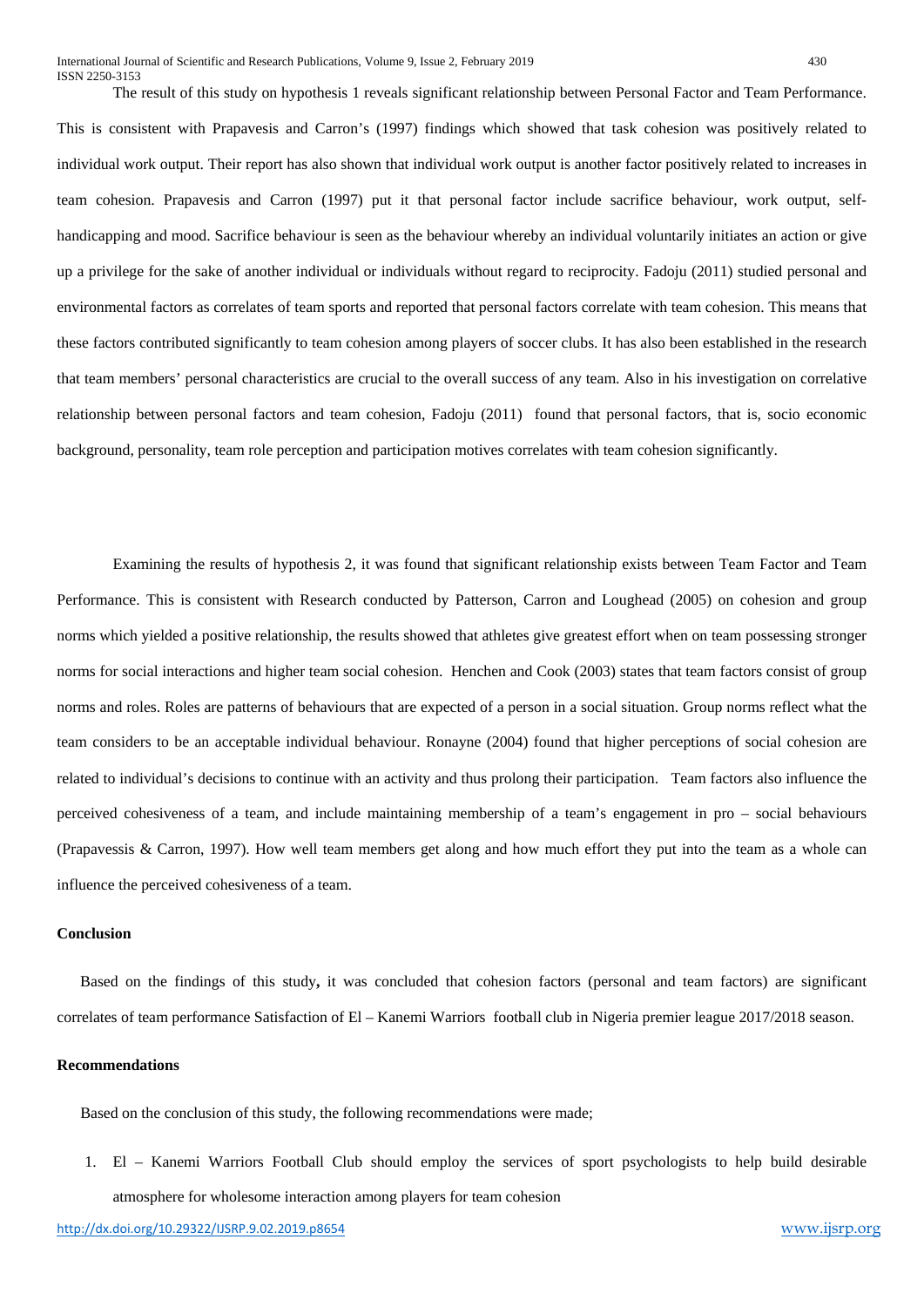The result of this study on hypothesis 1 reveals significant relationship between Personal Factor and Team Performance. This is consistent with Prapavesis and Carron's (1997) findings which showed that task cohesion was positively related to individual work output. Their report has also shown that individual work output is another factor positively related to increases in team cohesion. Prapavesis and Carron (1997) put it that personal factor include sacrifice behaviour, work output, selfhandicapping and mood. Sacrifice behaviour is seen as the behaviour whereby an individual voluntarily initiates an action or give up a privilege for the sake of another individual or individuals without regard to reciprocity. Fadoju (2011) studied personal and environmental factors as correlates of team sports and reported that personal factors correlate with team cohesion. This means that these factors contributed significantly to team cohesion among players of soccer clubs. It has also been established in the research that team members' personal characteristics are crucial to the overall success of any team. Also in his investigation on correlative relationship between personal factors and team cohesion, Fadoju (2011) found that personal factors, that is, socio economic background, personality, team role perception and participation motives correlates with team cohesion significantly.

Examining the results of hypothesis 2, it was found that significant relationship exists between Team Factor and Team Performance. This is consistent with Research conducted by Patterson, Carron and Loughead (2005) on cohesion and group norms which yielded a positive relationship, the results showed that athletes give greatest effort when on team possessing stronger norms for social interactions and higher team social cohesion. Henchen and Cook (2003) states that team factors consist of group norms and roles. Roles are patterns of behaviours that are expected of a person in a social situation. Group norms reflect what the team considers to be an acceptable individual behaviour. Ronayne (2004) found that higher perceptions of social cohesion are related to individual's decisions to continue with an activity and thus prolong their participation. Team factors also influence the perceived cohesiveness of a team, and include maintaining membership of a team's engagement in pro – social behaviours (Prapavessis & Carron, 1997). How well team members get along and how much effort they put into the team as a whole can influence the perceived cohesiveness of a team.

## **Conclusion**

 Based on the findings of this study**,** it was concluded that cohesion factors (personal and team factors) are significant correlates of team performance Satisfaction of El – Kanemi Warriors football club in Nigeria premier league 2017/2018 season.

#### **Recommendations**

Based on the conclusion of this study, the following recommendations were made;

1. El – Kanemi Warriors Football Club should employ the services of sport psychologists to help build desirable atmosphere for wholesome interaction among players for team cohesion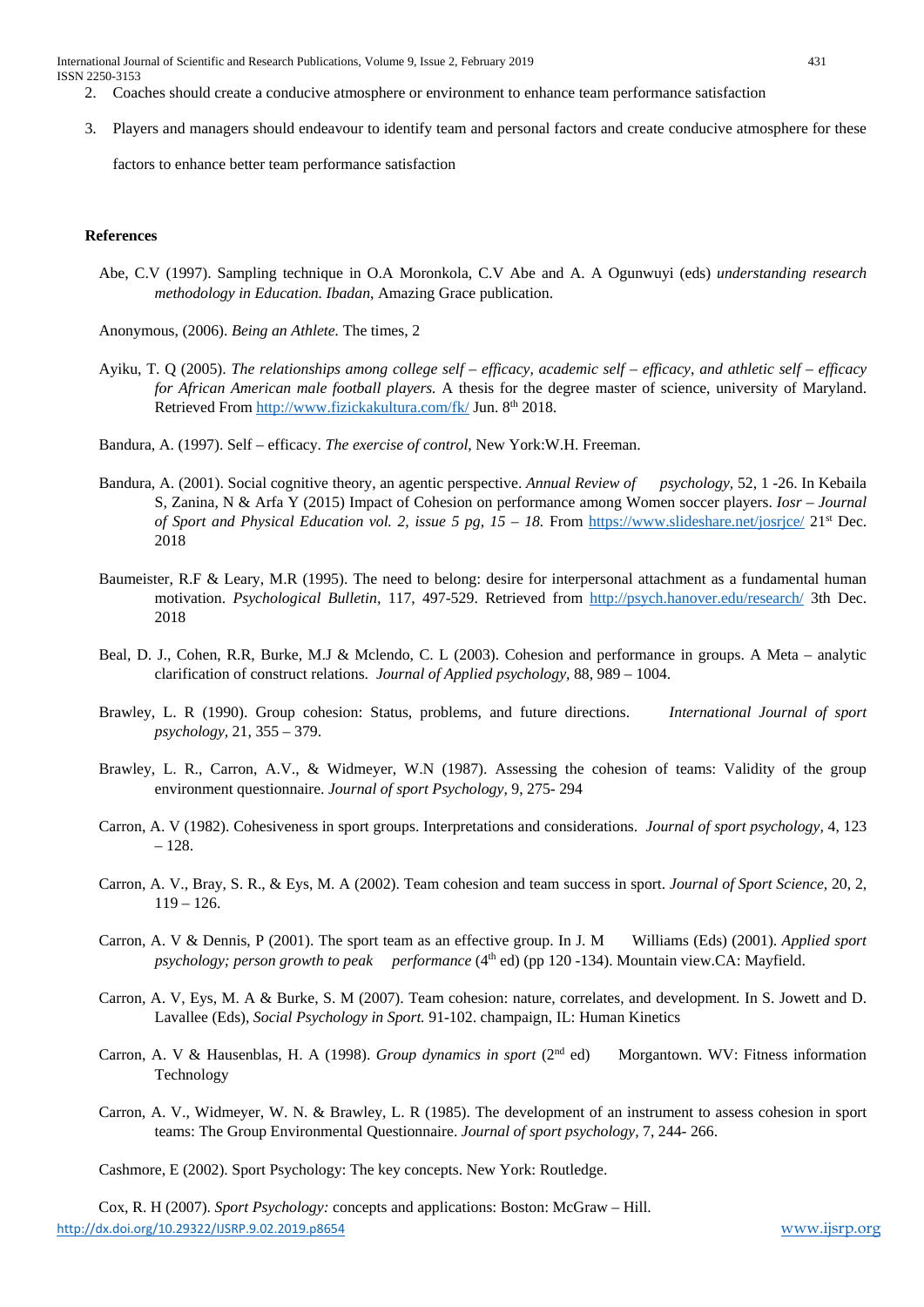International Journal of Scientific and Research Publications, Volume 9, Issue 2, February 2019 431 ISSN 2250-3153

- 2. Coaches should create a conducive atmosphere or environment to enhance team performance satisfaction
- 3. Players and managers should endeavour to identify team and personal factors and create conducive atmosphere for these

factors to enhance better team performance satisfaction

# **References**

- Abe, C.V (1997). Sampling technique in O.A Moronkola, C.V Abe and A. A Ogunwuyi (eds) *understanding research methodology in Education. Ibadan*, Amazing Grace publication.
- Anonymous, (2006). *Being an Athlete.* The times, 2
- Ayiku, T. Q (2005). *The relationships among college self – efficacy, academic self – efficacy, and athletic self – efficacy for African American male football players.* A thesis for the degree master of science, university of Maryland. Retrieved From<http://www.fizickakultura.com/fk/> Jun. 8<sup>th</sup> 2018.
- Bandura, A. (1997). Self efficacy. *The exercise of control,* New York:W.H. Freeman.
- Bandura, A. (2001). Social cognitive theory, an agentic perspective. *Annual Review of psychology,* 52, 1 -26. In Kebaila S, Zanina, N & Arfa Y (2015) Impact of Cohesion on performance among Women soccer players. *Iosr – Journal of Sport and Physical Education vol. 2, issue 5 pg, 15 – 18.* From<https://www.slideshare.net/josrjce/> 21st Dec. 2018
- Baumeister, R.F & Leary, M.R (1995). The need to belong: desire for interpersonal attachment as a fundamental human motivation. *Psychological Bulletin,* 117, 497-529. Retrieved from<http://psych.hanover.edu/research/> 3th Dec. 2018
- Beal, D. J., Cohen, R.R, Burke, M.J & Mclendo, C. L (2003). Cohesion and performance in groups. A Meta analytic clarification of construct relations. *Journal of Applied psychology,* 88, 989 – 1004.
- Brawley, L. R (1990). Group cohesion: Status, problems, and future directions. *International Journal of sport psychology,* 21, 355 – 379.
- Brawley, L. R., Carron, A.V., & Widmeyer, W.N (1987). Assessing the cohesion of teams: Validity of the group environment questionnaire. *Journal of sport Psychology,* 9, 275- 294
- Carron, A. V (1982). Cohesiveness in sport groups. Interpretations and considerations. *Journal of sport psychology,* 4, 123 – 128.
- Carron, A. V., Bray, S. R., & Eys, M. A (2002). Team cohesion and team success in sport. *Journal of Sport Science,* 20, 2,  $119 - 126.$
- Carron, A. V & Dennis, P (2001). The sport team as an effective group. In J. M Williams (Eds) (2001). *Applied sport psychology; person growth to peak performance* (4<sup>th</sup> ed) (pp 120 -134). Mountain view.CA: Mayfield.
- Carron, A. V, Eys, M. A & Burke, S. M (2007). Team cohesion: nature, correlates, and development. In S. Jowett and D. Lavallee (Eds), *Social Psychology in Sport.* 91-102. champaign, IL: Human Kinetics
- Carron, A. V & Hausenblas, H. A (1998). *Group dynamics in sport* (2nd ed) Morgantown. WV: Fitness information Technology
- Carron, A. V., Widmeyer, W. N. & Brawley, L. R (1985). The development of an instrument to assess cohesion in sport teams: The Group Environmental Questionnaire. *Journal of sport psychology,* 7, 244- 266.

Cashmore, E (2002). Sport Psychology: The key concepts. New York: Routledge.

<http://dx.doi.org/10.29322/IJSRP.9.02.2019.p8654> [www.ijsrp.org](http://ijsrp.org/) Cox, R. H (2007). *Sport Psychology:* concepts and applications: Boston: McGraw – Hill.